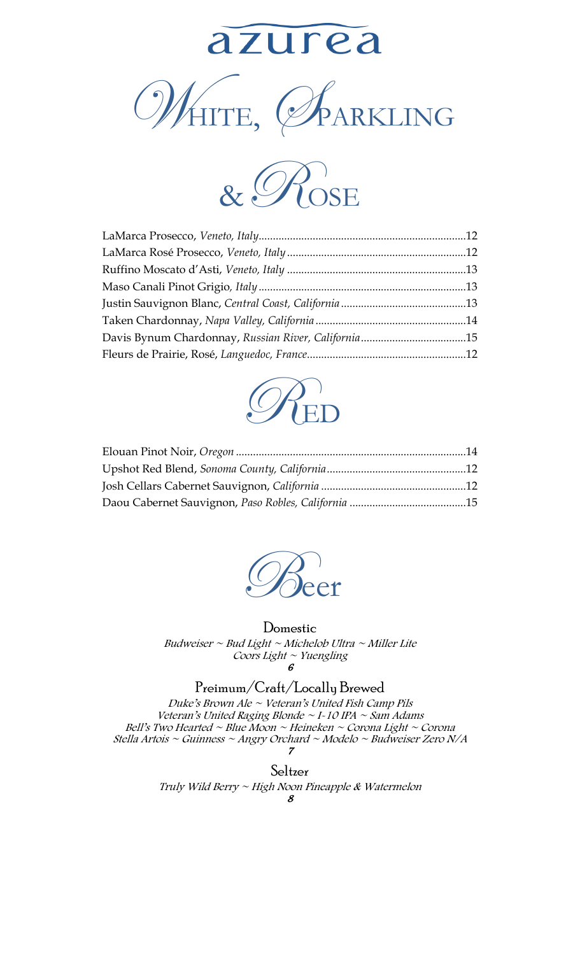







#### Domestic

Budweiser ~ Bud Light ~ Michelob Ultra ~ Miller Lite Coors Light  $\sim$  Yuengling 6

### Preimum/Craft/Locally Brewed

Duke's Brown Ale  $\sim$  Veteran's United Fish Camp Pils Veteran's United Raging Blonde  $\sim$  I-10 IPA  $\sim$  Sam Adams Bell's Two Hearted ~ Blue Moon ~ Heineken ~ Corona Light ~ Corona Stella Artois ~ Guinness ~ Angry Orchard ~ Modelo ~ Budweiser Zero N/A 7

> Seltzer Truly Wild Berry ~ High Noon Pineapple & Watermelon 8